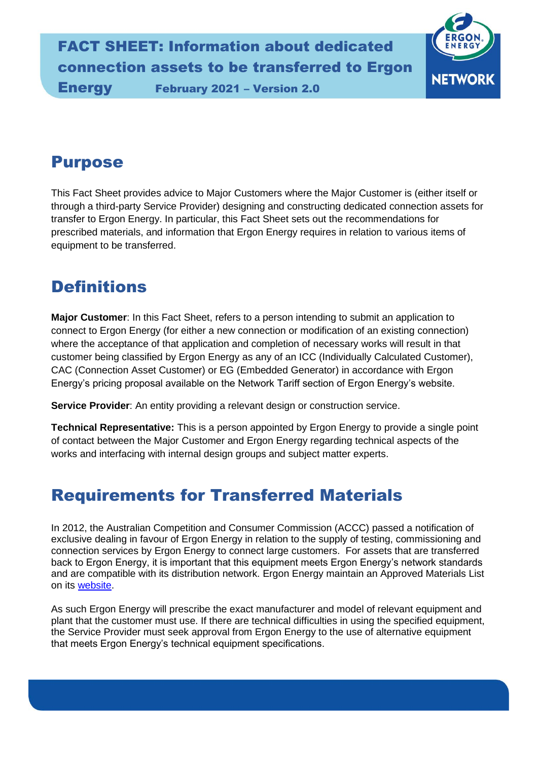

### Purpose

This Fact Sheet provides advice to Major Customers where the Major Customer is (either itself or through a third-party Service Provider) designing and constructing dedicated connection assets for transfer to Ergon Energy. In particular, this Fact Sheet sets out the recommendations for prescribed materials, and information that Ergon Energy requires in relation to various items of equipment to be transferred.

#### **Definitions**

**Major Customer**: In this Fact Sheet, refers to a person intending to submit an application to connect to Ergon Energy (for either a new connection or modification of an existing connection) where the acceptance of that application and completion of necessary works will result in that customer being classified by Ergon Energy as any of an ICC (Individually Calculated Customer), CAC (Connection Asset Customer) or EG (Embedded Generator) in accordance with Ergon Energy's pricing proposal available on the Network Tariff section of Ergon Energy's website.

**Service Provider**: An entity providing a relevant design or construction service.

**Technical Representative:** This is a person appointed by Ergon Energy to provide a single point of contact between the Major Customer and Ergon Energy regarding technical aspects of the works and interfacing with internal design groups and subject matter experts.

### Requirements for Transferred Materials

In 2012, the Australian Competition and Consumer Commission (ACCC) passed a notification of exclusive dealing in favour of Ergon Energy in relation to the supply of testing, commissioning and connection services by Ergon Energy to connect large customers. For assets that are transferred back to Ergon Energy, it is important that this equipment meets Ergon Energy's network standards and are compatible with its distribution network. Ergon Energy maintain an Approved Materials List on its [website.](https://www.ergon.com.au/network/contractors-and-industry/developers-toolkit/guidelines-and-manuals)

As such Ergon Energy will prescribe the exact manufacturer and model of relevant equipment and plant that the customer must use. If there are technical difficulties in using the specified equipment, the Service Provider must seek approval from Ergon Energy to the use of alternative equipment that meets Ergon Energy's technical equipment specifications.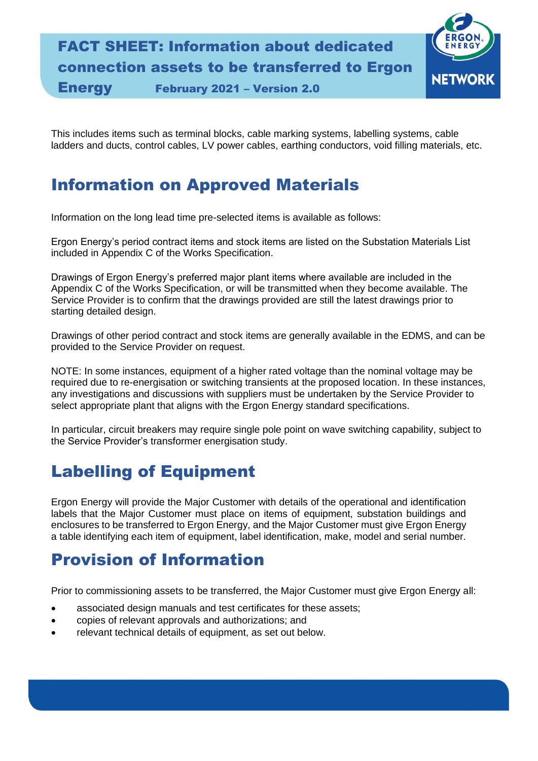# FACT SHEET: Information about dedicated connection assets to be transferred to Ergon

Energy February 2021 – Version 2.0

**NETWORK** 

This includes items such as terminal blocks, cable marking systems, labelling systems, cable ladders and ducts, control cables, LV power cables, earthing conductors, void filling materials, etc.

#### Information on Approved Materials

Information on the long lead time pre-selected items is available as follows:

Ergon Energy's period contract items and stock items are listed on the Substation Materials List included in Appendix C of the Works Specification.

Drawings of Ergon Energy's preferred major plant items where available are included in the Appendix C of the Works Specification, or will be transmitted when they become available. The Service Provider is to confirm that the drawings provided are still the latest drawings prior to starting detailed design.

Drawings of other period contract and stock items are generally available in the EDMS, and can be provided to the Service Provider on request.

NOTE: In some instances, equipment of a higher rated voltage than the nominal voltage may be required due to re-energisation or switching transients at the proposed location. In these instances, any investigations and discussions with suppliers must be undertaken by the Service Provider to select appropriate plant that aligns with the Ergon Energy standard specifications.

In particular, circuit breakers may require single pole point on wave switching capability, subject to the Service Provider's transformer energisation study.

### Labelling of Equipment

Ergon Energy will provide the Major Customer with details of the operational and identification labels that the Major Customer must place on items of equipment, substation buildings and enclosures to be transferred to Ergon Energy, and the Major Customer must give Ergon Energy a table identifying each item of equipment, label identification, make, model and serial number.

### Provision of Information

Prior to commissioning assets to be transferred, the Major Customer must give Ergon Energy all:

- associated design manuals and test certificates for these assets;
- copies of relevant approvals and authorizations; and
- relevant technical details of equipment, as set out below.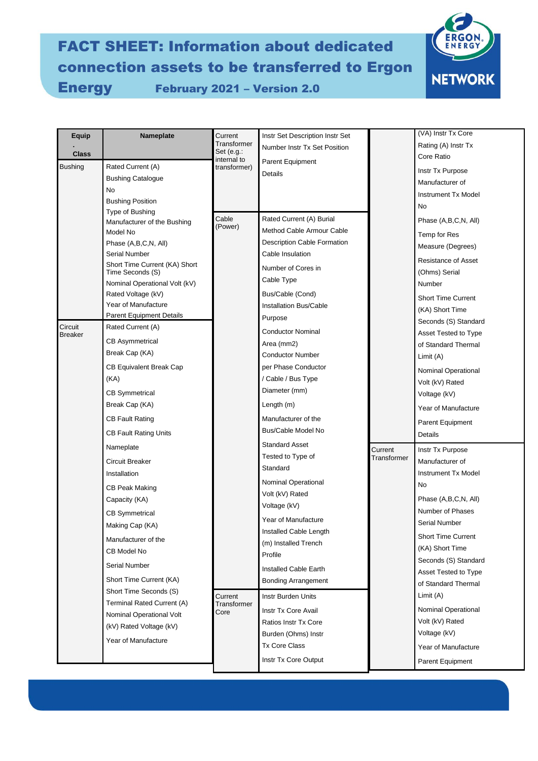### FACT SHEET: Information about dedicated connection assets to be transferred to Ergon Energy February 2021 – Version 2.0



| <b>Equip</b>              | Nameplate                                                                       | Current                                     | Instr Set Description Instr Set    |             | (VA) Instr Tx Core          |
|---------------------------|---------------------------------------------------------------------------------|---------------------------------------------|------------------------------------|-------------|-----------------------------|
|                           |                                                                                 | Transformer                                 | Number Instr Tx Set Position       |             | Rating (A) Instr Tx         |
| <b>Class</b>              |                                                                                 | Set $(e.g.:$<br>internal to<br>transformer) | Parent Equipment<br>Details        |             | Core Ratio                  |
| <b>Bushing</b>            | Rated Current (A)                                                               |                                             |                                    |             | Instr Tx Purpose            |
|                           | <b>Bushing Catalogue</b>                                                        |                                             |                                    |             | Manufacturer of             |
|                           | No                                                                              |                                             |                                    |             | <b>Instrument Tx Model</b>  |
|                           | <b>Bushing Position</b>                                                         |                                             |                                    |             | No                          |
|                           | Type of Bushing<br>Manufacturer of the Bushing                                  | Cable                                       | Rated Current (A) Burial           |             | Phase (A,B,C,N, All)        |
|                           | Model No                                                                        | (Power)                                     | Method Cable Armour Cable          |             | Temp for Res                |
|                           | Phase (A,B,C,N, All)                                                            |                                             | <b>Description Cable Formation</b> |             | Measure (Degrees)           |
|                           | Serial Number                                                                   |                                             | Cable Insulation                   |             | <b>Resistance of Asset</b>  |
|                           | Short Time Current (KA) Short<br>Time Seconds (S)                               |                                             | Number of Cores in                 |             | (Ohms) Serial               |
|                           | Nominal Operational Volt (kV)                                                   |                                             | Cable Type                         |             | Number                      |
|                           | Rated Voltage (kV)                                                              |                                             | Bus/Cable (Cond)                   |             | <b>Short Time Current</b>   |
|                           | Year of Manufacture                                                             |                                             | <b>Installation Bus/Cable</b>      |             | (KA) Short Time             |
|                           | <b>Parent Equipment Details</b>                                                 |                                             | Purpose                            |             | Seconds (S) Standard        |
| Circuit<br><b>Breaker</b> | Rated Current (A)                                                               |                                             | <b>Conductor Nominal</b>           |             | <b>Asset Tested to Type</b> |
|                           | <b>CB Asymmetrical</b>                                                          |                                             | Area (mm2)                         |             | of Standard Thermal         |
|                           | Break Cap (KA)                                                                  |                                             | <b>Conductor Number</b>            |             | Limit (A)                   |
|                           | <b>CB Equivalent Break Cap</b>                                                  |                                             | per Phase Conductor                |             | Nominal Operational         |
|                           | (KA)                                                                            |                                             | / Cable / Bus Type                 |             | Volt (kV) Rated             |
|                           | <b>CB Symmetrical</b>                                                           |                                             | Diameter (mm)                      |             | Voltage (kV)                |
|                           | Break Cap (KA)                                                                  |                                             | Length (m)                         |             | Year of Manufacture         |
|                           | <b>CB Fault Rating</b>                                                          |                                             | Manufacturer of the                |             | <b>Parent Equipment</b>     |
|                           | <b>CB Fault Rating Units</b>                                                    |                                             | Bus/Cable Model No                 |             | Details                     |
|                           | Nameplate                                                                       |                                             | <b>Standard Asset</b>              | Current     | Instr Tx Purpose            |
|                           | Circuit Breaker                                                                 |                                             | Tested to Type of                  | Transformer | Manufacturer of             |
|                           | Installation                                                                    |                                             | Standard                           |             | <b>Instrument Tx Model</b>  |
|                           | <b>CB Peak Making</b>                                                           |                                             | <b>Nominal Operational</b>         |             | No                          |
|                           | Capacity (KA)                                                                   |                                             | Volt (kV) Rated                    |             | Phase (A,B,C,N, All)        |
|                           | <b>CB Symmetrical</b>                                                           |                                             | Voltage (kV)                       |             | Number of Phases            |
|                           | Making Cap (KA)                                                                 |                                             | Year of Manufacture                |             | <b>Serial Number</b>        |
|                           | Manufacturer of the                                                             |                                             | Installed Cable Length             |             | Short Time Current          |
|                           | CB Model No                                                                     |                                             | (m) Installed Trench               |             | (KA) Short Time             |
|                           |                                                                                 |                                             | Profile                            |             | Seconds (S) Standard        |
|                           | <b>Serial Number</b>                                                            |                                             | Installed Cable Earth              |             | Asset Tested to Type        |
|                           | Short Time Current (KA)<br>Short Time Seconds (S)<br>Terminal Rated Current (A) | Current<br>Transformer<br>Core              | <b>Bonding Arrangement</b>         |             | of Standard Thermal         |
|                           |                                                                                 |                                             | Instr Burden Units                 |             | Limit (A)                   |
|                           |                                                                                 |                                             | Instr Tx Core Avail                |             | Nominal Operational         |
|                           | Nominal Operational Volt<br>(kV) Rated Voltage (kV)                             |                                             | Ratios Instr Tx Core               |             | Volt (kV) Rated             |
|                           |                                                                                 |                                             | Burden (Ohms) Instr                |             | Voltage (kV)                |
|                           | Year of Manufacture                                                             |                                             | <b>Tx Core Class</b>               |             | Year of Manufacture         |
|                           |                                                                                 |                                             | Instr Tx Core Output               |             | Parent Equipment            |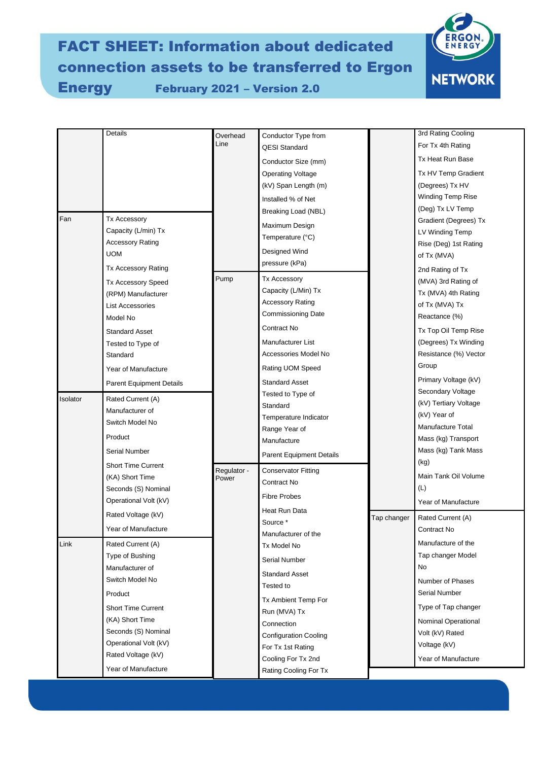# FACT SHEET: Information about dedicated connection assets to be transferred to Ergon

Energy February 2021 – Version 2.0



| Details<br>Overhead<br>Conductor Type from                                                | 3rd Rating Cooling    |
|-------------------------------------------------------------------------------------------|-----------------------|
| Line<br>For Tx 4th Rating<br><b>QESI Standard</b>                                         |                       |
| Tx Heat Run Base<br>Conductor Size (mm)                                                   |                       |
| Operating Voltage                                                                         | Tx HV Temp Gradient   |
| (kV) Span Length (m)<br>(Degrees) Tx HV                                                   |                       |
| Winding Temp Rise<br>Installed % of Net                                                   |                       |
| (Deg) Tx LV Temp<br>Breaking Load (NBL)                                                   |                       |
| Fan<br><b>Tx Accessory</b><br>Maximum Design                                              | Gradient (Degrees) Tx |
| Capacity (L/min) Tx<br>LV Winding Temp<br>Temperature (°C)                                |                       |
| <b>Accessory Rating</b><br>Designed Wind<br>UOM                                           | Rise (Deg) 1st Rating |
| of Tx (MVA)<br>pressure (kPa)                                                             |                       |
| Tx Accessory Rating<br>2nd Rating of Tx<br>Pump<br><b>Tx Accessory</b>                    |                       |
| (MVA) 3rd Rating of<br><b>Tx Accessory Speed</b><br>Capacity (L/Min) Tx                   |                       |
| Tx (MVA) 4th Rating<br>(RPM) Manufacturer<br><b>Accessory Rating</b>                      |                       |
| of Tx (MVA) Tx<br><b>List Accessories</b><br>Commissioning Date                           |                       |
| Reactance (%)<br>Model No<br>Contract No                                                  |                       |
| <b>Standard Asset</b>                                                                     | Tx Top Oil Temp Rise  |
| Manufacturer List<br>Tested to Type of                                                    | (Degrees) Tx Winding  |
| Accessories Model No<br>Standard                                                          | Resistance (%) Vector |
| Group<br>Rating UOM Speed<br>Year of Manufacture                                          |                       |
| Standard Asset<br>Parent Equipment Details                                                | Primary Voltage (kV)  |
| Secondary Voltage<br>Tested to Type of<br>Isolator<br>Rated Current (A)                   |                       |
| (kV) Tertiary Voltage<br>Standard<br>Manufacturer of<br>(kV) Year of                      |                       |
| Temperature Indicator<br>Switch Model No<br>Manufacture Total                             |                       |
| Range Year of<br>Product<br>Mass (kg) Transport                                           |                       |
| Manufacture<br><b>Serial Number</b>                                                       | Mass (kg) Tank Mass   |
| <b>Parent Equipment Details</b><br>(kg)                                                   |                       |
| <b>Short Time Current</b><br>Regulator -<br><b>Conservator Fitting</b><br>(KA) Short Time | Main Tank Oil Volume  |
| Power<br>Contract No<br>(L)<br>Seconds (S) Nominal                                        |                       |
| Fibre Probes<br>Operational Volt (kV)<br>Year of Manufacture                              |                       |
| Heat Run Data<br>Rated Voltage (kV)                                                       |                       |
| Tap changer<br>Rated Current (A)<br>Source *                                              |                       |
| Year of Manufacture<br>Contract No<br>Manufacturer of the                                 |                       |
| Manufacture of the<br>Link<br>Rated Current (A)<br>Tx Model No                            |                       |
| Tap changer Model<br>Type of Bushing<br>Serial Number                                     |                       |
| No<br>Manufacturer of<br>Standard Asset                                                   |                       |
| Switch Model No<br>Number of Phases<br>Tested to                                          |                       |
| Serial Number<br>Product<br>Tx Ambient Temp For                                           |                       |
| <b>Short Time Current</b><br>Run (MVA) Tx                                                 | Type of Tap changer   |
| (KA) Short Time<br>Connection                                                             | Nominal Operational   |
| Seconds (S) Nominal<br>Volt (kV) Rated<br><b>Configuration Cooling</b>                    |                       |
| Operational Volt (kV)<br>Voltage (kV)<br>For Tx 1st Rating                                |                       |
| Rated Voltage (kV)<br>Cooling For Tx 2nd<br>Year of Manufacture                           |                       |
| Year of Manufacture<br>Rating Cooling For Tx                                              |                       |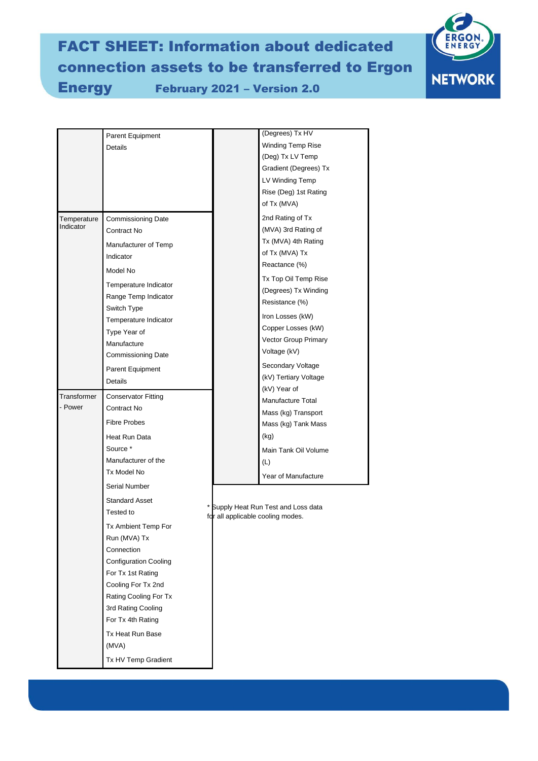# FACT SHEET: Information about dedicated connection assets to be transferred to Ergon

Energy February 2021 – Version 2.0



|                        | Parent Equipment<br>Details        |  | (Degrees) Tx HV<br>Winding Temp Rise                                    |  |
|------------------------|------------------------------------|--|-------------------------------------------------------------------------|--|
|                        |                                    |  | (Deg) Tx LV Temp                                                        |  |
|                        |                                    |  | Gradient (Degrees) Tx                                                   |  |
|                        |                                    |  | LV Winding Temp<br>Rise (Deg) 1st Rating                                |  |
|                        |                                    |  | of Tx (MVA)                                                             |  |
| Temperature            | <b>Commissioning Date</b>          |  | 2nd Rating of Tx                                                        |  |
| Indicator              | Contract No                        |  | (MVA) 3rd Rating of                                                     |  |
|                        | Manufacturer of Temp               |  | Tx (MVA) 4th Rating                                                     |  |
|                        | Indicator                          |  | of Tx (MVA) Tx                                                          |  |
|                        | Model No                           |  | Reactance (%)                                                           |  |
|                        | Temperature Indicator              |  | Tx Top Oil Temp Rise                                                    |  |
|                        | Range Temp Indicator               |  | (Degrees) Tx Winding<br>Resistance (%)                                  |  |
|                        | Switch Type                        |  |                                                                         |  |
|                        | Temperature Indicator              |  | Iron Losses (kW)<br>Copper Losses (kW)                                  |  |
|                        | Type Year of                       |  | Vector Group Primary                                                    |  |
|                        | Manufacture                        |  | Voltage (kV)                                                            |  |
|                        | <b>Commissioning Date</b>          |  | Secondary Voltage                                                       |  |
|                        | Parent Equipment<br><b>Details</b> |  | (kV) Tertiary Voltage                                                   |  |
|                        |                                    |  | (kV) Year of                                                            |  |
| Transformer<br>- Power | <b>Conservator Fitting</b>         |  | Manufacture Total                                                       |  |
|                        | Contract No                        |  | Mass (kg) Transport                                                     |  |
|                        | <b>Fibre Probes</b>                |  | Mass (kg) Tank Mass                                                     |  |
|                        | Heat Run Data                      |  | (kg)                                                                    |  |
|                        | Source *                           |  | Main Tank Oil Volume                                                    |  |
|                        | Manufacturer of the<br>Tx Model No |  | (L)                                                                     |  |
|                        | Serial Number                      |  | Year of Manufacture                                                     |  |
|                        |                                    |  | Supply Heat Run Test and Loss data<br>for all applicable cooling modes. |  |
|                        | <b>Standard Asset</b><br>Tested to |  |                                                                         |  |
|                        | Tx Ambient Temp For                |  |                                                                         |  |
|                        | Run (MVA) Tx                       |  |                                                                         |  |
|                        | Connection                         |  |                                                                         |  |
|                        | <b>Configuration Cooling</b>       |  |                                                                         |  |
|                        | For Tx 1st Rating                  |  |                                                                         |  |
|                        | Cooling For Tx 2nd                 |  |                                                                         |  |
|                        | Rating Cooling For Tx              |  |                                                                         |  |
|                        | 3rd Rating Cooling                 |  |                                                                         |  |
|                        | For Tx 4th Rating                  |  |                                                                         |  |
|                        | Tx Heat Run Base                   |  |                                                                         |  |
|                        | (MVA)                              |  |                                                                         |  |
|                        | Tx HV Temp Gradient                |  |                                                                         |  |